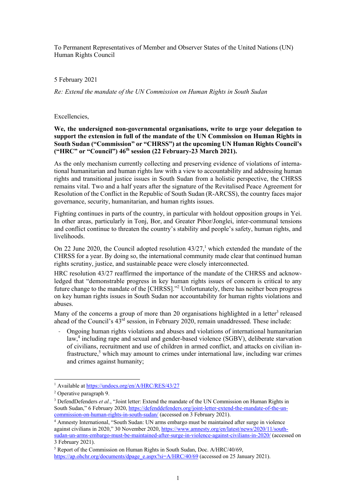To Permanent Representatives of Member and Observer States of the United Nations (UN) Human Rights Council

## 5 February 2021

*Re: Extend the mandate of the UN Commission on Human Rights in South Sudan* 

## Excellencies,

**We, the undersigned non-governmental organisations, write to urge your delegation to support the extension in full of the mandate of the UN Commission on Human Rights in South Sudan ("Commission" or "CHRSS") at the upcoming UN Human Rights Council's ("HRC" or "Council") 46th session (22 February-23 March 2021).** 

As the only mechanism currently collecting and preserving evidence of violations of international humanitarian and human rights law with a view to accountability and addressing human rights and transitional justice issues in South Sudan from a holistic perspective, the CHRSS remains vital. Two and a half years after the signature of the Revitalised Peace Agreement for Resolution of the Conflict in the Republic of South Sudan (R-ARCSS), the country faces major governance, security, humanitarian, and human rights issues.

Fighting continues in parts of the country, in particular with holdout opposition groups in Yei. In other areas, particularly in Tonj, Bor, and Greater Pibor/Jonglei, inter-communal tensions and conflict continue to threaten the country's stability and people's safety, human rights, and livelihoods.

On 22 June 2020, the Council adopted resolution  $43/27$ ,<sup>1</sup> which extended the mandate of the CHRSS for a year. By doing so, the international community made clear that continued human rights scrutiny, justice, and sustainable peace were closely interconnected.

HRC resolution 43/27 reaffirmed the importance of the mandate of the CHRSS and acknowledged that "demonstrable progress in key human rights issues of concern is critical to any future change to the mandate of the [CHRSS]."<sup>2</sup> Unfortunately, there has neither been progress on key human rights issues in South Sudan nor accountability for human rights violations and abuses.

Many of the concerns a group of more than 20 organisations highlighted in a letter<sup>3</sup> released ahead of the Council's 43rd session, in February 2020, remain unaddressed. These include:

- Ongoing human rights violations and abuses and violations of international humanitarian law, <sup>4</sup> including rape and sexual and gender-based violence (SGBV), deliberate starvation of civilians, recruitment and use of children in armed conflict, and attacks on civilian infrastructure,<sup>5</sup> which may amount to crimes under international law, including war crimes and crimes against humanity;

<sup>1</sup> Available at https://undocs.org/en/A/HRC/RES/43/27

<sup>2</sup> Operative paragraph 9.

<sup>&</sup>lt;sup>3</sup> DefendDefenders *et al.*, "Joint letter: Extend the mandate of the UN Commission on Human Rights in South Sudan," 6 February 2020, https://defenddefenders.org/joint-letter-extend-the-mandate-of-the-uncommission-on-human-rights-in-south-sudan/ (accessed on 3 February 2021).

<sup>4</sup> Amnesty International, "South Sudan: UN arms embargo must be maintained after surge in violence against civilians in 2020," 30 November 2020, https://www.amnesty.org/en/latest/news/2020/11/southsudan-un-arms-embargo-must-be-maintained-after-surge-in-violence-against-civilians-in-2020/ (accessed on 3 February 2021).

<sup>&</sup>lt;sup>5</sup> Report of the Commission on Human Rights in South Sudan, Doc. A/HRC/40/69, https://ap.ohchr.org/documents/dpage\_e.aspx?si=A/HRC/40/69 (accessed on 25 January 2021).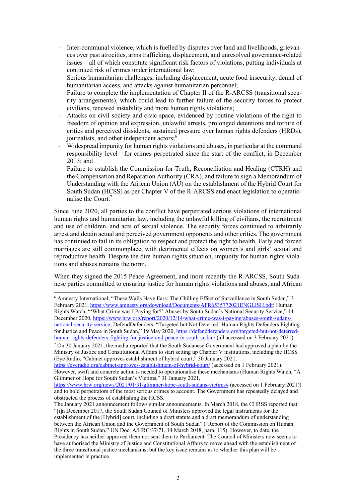- Inter-communal violence, which is fuelled by disputes over land and livelihoods, grievances over past atrocities, arms trafficking, displacement, and unresolved governance-related issues—all of which constitute significant risk factors of violations, putting individuals at continued risk of crimes under international law;
- Serious humanitarian challenges, including displacement, acute food insecurity, denial of humanitarian access, and attacks against humanitarian personnel;
- Failure to complete the implementation of Chapter II of the R-ARCSS (transitional security arrangements), which could lead to further failure of the security forces to protect civilians, renewed instability and more human rights violations;
- Attacks on civil society and civic space, evidenced by routine violations of the right to freedom of opinion and expression, unlawful arrests, prolonged detentions and torture of critics and perceived dissidents, sustained pressure over human rights defenders (HRDs), journalists, and other independent actors;<sup>6</sup>
- Widespread impunity for human rights violations and abuses, in particular at the command responsibility level—for crimes perpetrated since the start of the conflict, in December  $2013$ ; and
- Failure to establish the Commission for Truth, Reconciliation and Healing (CTRH) and the Compensation and Reparation Authority (CRA), and failure to sign a Memorandum of Understanding with the African Union (AU) on the establishment of the Hybrid Court for South Sudan (HCSS) as per Chapter V of the R-ARCSS and enact legislation to operationalise the Court.<sup>7</sup>

Since June 2020, all parties to the conflict have perpetrated serious violations of international human rights and humanitarian law, including the unlawful killing of civilians, the recruitment and use of children, and acts of sexual violence. The security forces continued to arbitrarily arrest and detain actual and perceived government opponents and other critics. The government has continued to fail in its obligation to respect and protect the right to health. Early and forced marriages are still commonplace, with detrimental effects on women's and girls' sexual and reproductive health. Despite the dire human rights situation, impunity for human rights violations and abuses remains the norm.

When they signed the 2015 Peace Agreement, and more recently the R-ARCSS, South Sudanese parties committed to ensuring justice for human rights violations and abuses, and African

https://eyeradio.org/cabinet-approves-establishment-of-hybrid-court/ (accessed on 1 February 2021). However, swift and concrete action is needed to operationalise these mechanisms (Human Rights Watch, "A Glimmer of Hope for South Sudan's Victims," 31 January 2021,

https://www.hrw.org/news/2021/01/31/glimmer-hope-south-sudans-victims# (accessed on 1 February 2021)) and to hold perpetrators of the most serious crimes to account. The Government has repeatedly delayed and obstructed the process of establishing the HCSS.

<sup>6</sup> Amnesty International, "These Walls Have Ears: The Chilling Effect of Surveillance in South Sudan," 3 February 2021, https://www.amnesty.org/download/Documents/AFR6535772021ENGLISH.pdf; Human Rights Watch, "'What Crime was I Paying for?' Abuses by South Sudan's National Security Service," 14 December 2020, https://www.hrw.org/report/2020/12/14/what-crime-was-i-paying/abuses-south-sudansnational-security-service; DefendDefenders, "Targeted but Not Deterred: Human Rights Defenders Fighting for Justice and Peace in South Sudan," 19 May 2020, https://defenddefenders.org/targeted-but-not-deterredhuman-rights-defenders-fighting-for-justice-and-peace-in-south-sudan/ (all accessed on 3 February 2021).

 $7$  On 30 January 2021, the media reported that the South Sudanese Government had approved a plan by the Ministry of Justice and Constitutional Affairs to start setting up Chapter V institutions, including the HCSS (Eye Radio, "Cabinet approves establishment of hybrid court," 30 January 2021,

The January 2021 announcement follows similar announcements. In March 2018, the CHRSS reported that "[i]n December 2017, the South Sudan Council of Ministers approved the legal instruments for the establishment of the [Hybrid] court, including a draft statute and a draft memorandum of understanding between the African Union and the Government of South Sudan" ("Report of the Commission on Human Rights in South Sudan," UN Doc. A/HRC/37/71, 14 March 2018, para. 115). However, to date, the Presidency has neither approved them nor sent them to Parliament. The Council of Ministers now seems to have authorised the Ministry of Justice and Constitutional Affairs to move ahead with the establishment of the three transitional justice mechanisms, but the key issue remains as to whether this plan will be implemented in practice.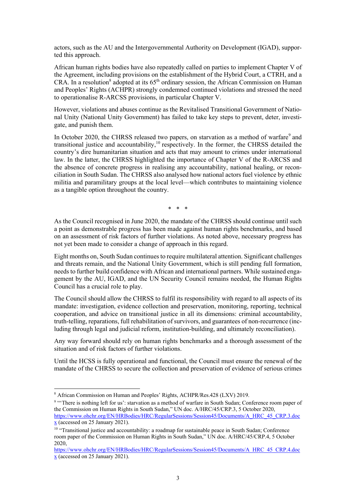actors, such as the AU and the Intergovernmental Authority on Development (IGAD), supported this approach.

African human rights bodies have also repeatedly called on parties to implement Chapter V of the Agreement, including provisions on the establishment of the Hybrid Court, a CTRH, and a CRA. In a resolution<sup>8</sup> adopted at its  $65<sup>th</sup>$  ordinary session, the African Commission on Human and Peoples' Rights (ACHPR) strongly condemned continued violations and stressed the need to operationalise R-ARCSS provisions, in particular Chapter V.

However, violations and abuses continue as the Revitalised Transitional Government of National Unity (National Unity Government) has failed to take key steps to prevent, deter, investigate, and punish them.

In October 2020, the CHRSS released two papers, on starvation as a method of warfare<sup>9</sup> and transitional justice and accountability, $10$  respectively. In the former, the CHRSS detailed the country's dire humanitarian situation and acts that may amount to crimes under international law. In the latter, the CHRSS highlighted the importance of Chapter V of the R-ARCSS and the absence of concrete progress in realising any accountability, national healing, or reconciliation in South Sudan. The CHRSS also analysed how national actors fuel violence by ethnic militia and paramilitary groups at the local level—which contributes to maintaining violence as a tangible option throughout the country.

\* \* \*

As the Council recognised in June 2020, the mandate of the CHRSS should continue until such a point as demonstrable progress has been made against human rights benchmarks, and based on an assessment of risk factors of further violations. As noted above, necessary progress has not yet been made to consider a change of approach in this regard.

Eight months on, South Sudan continues to require multilateral attention. Significant challenges and threats remain, and the National Unity Government, which is still pending full formation, needs to further build confidence with African and international partners. While sustained engagement by the AU, IGAD, and the UN Security Council remains needed, the Human Rights Council has a crucial role to play.

The Council should allow the CHRSS to fulfil its responsibility with regard to all aspects of its mandate: investigation, evidence collection and preservation, monitoring, reporting, technical cooperation, and advice on transitional justice in all its dimensions: criminal accountability, truth-telling, reparations, full rehabilitation of survivors, and guarantees of non-recurrence (including through legal and judicial reform, institution-building, and ultimately reconciliation).

Any way forward should rely on human rights benchmarks and a thorough assessment of the situation and of risk factors of further violations.

Until the HCSS is fully operational and functional, the Council must ensure the renewal of the mandate of the CHRSS to secure the collection and preservation of evidence of serious crimes

<sup>8</sup> African Commission on Human and Peoples' Rights, ACHPR/Res.428 (LXV) 2019.

<sup>&</sup>lt;sup>9</sup> "There is nothing left for us': starvation as a method of warfare in South Sudan; Conference room paper of the Commission on Human Rights in South Sudan," UN doc. A/HRC/45/CRP.3, 5 October 2020, https://www.ohchr.org/EN/HRBodies/HRC/RegularSessions/Session45/Documents/A\_HRC\_45\_CRP.3.doc  $\underline{x}$  (accessed on 25 January 2021).

<sup>&</sup>lt;sup>10</sup> "Transitional justice and accountability: a roadmap for sustainable peace in South Sudan; Conference room paper of the Commission on Human Rights in South Sudan," UN doc. A/HRC/45/CRP.4, 5 October 2020,

https://www.ohchr.org/EN/HRBodies/HRC/RegularSessions/Session45/Documents/A\_HRC\_45\_CRP.4.doc x (accessed on 25 January 2021).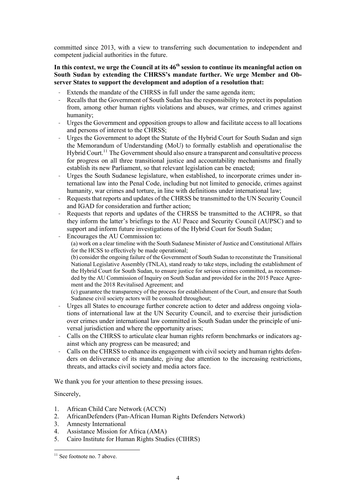committed since 2013, with a view to transferring such documentation to independent and competent judicial authorities in the future.

## In this context, we urge the Council at its  $46<sup>th</sup>$  session to continue its meaningful action on **South Sudan by extending the CHRSS's mandate further. We urge Member and Observer States to support the development and adoption of a resolution that:**

- Extends the mandate of the CHRSS in full under the same agenda item;
- Recalls that the Government of South Sudan has the responsibility to protect its population from, among other human rights violations and abuses, war crimes, and crimes against humanity;
- Urges the Government and opposition groups to allow and facilitate access to all locations and persons of interest to the CHRSS;
- Urges the Government to adopt the Statute of the Hybrid Court for South Sudan and sign the Memorandum of Understanding (MoU) to formally establish and operationalise the Hybrid Court.<sup>11</sup> The Government should also ensure a transparent and consultative process for progress on all three transitional justice and accountability mechanisms and finally establish its new Parliament, so that relevant legislation can be enacted;
- Urges the South Sudanese legislature, when established, to incorporate crimes under international law into the Penal Code, including but not limited to genocide, crimes against humanity, war crimes and torture, in line with definitions under international law;
- Requests that reports and updates of the CHRSS be transmitted to the UN Security Council and IGAD for consideration and further action;
- Requests that reports and updates of the CHRSS be transmitted to the ACHPR, so that they inform the latter's briefings to the AU Peace and Security Council (AUPSC) and to support and inform future investigations of the Hybrid Court for South Sudan;
- Encourages the AU Commission to:
	- (a) work on a clear timeline with the South Sudanese Minister of Justice and Constitutional Affairs for the HCSS to effectively be made operational;

(b) consider the ongoing failure of the Government of South Sudan to reconstitute the Transitional National Legislative Assembly (TNLA), stand ready to take steps, including the establishment of the Hybrid Court for South Sudan, to ensure justice for serious crimes committed, as recommended by the AU Commission of Inquiry on South Sudan and provided for in the 2015 Peace Agreement and the 2018 Revitalised Agreement; and

- (c) guarantee the transparency of the process for establishment of the Court, and ensure that South Sudanese civil society actors will be consulted throughout;
- Urges all States to encourage further concrete action to deter and address ongoing violations of international law at the UN Security Council, and to exercise their jurisdiction over crimes under international law committed in South Sudan under the principle of universal jurisdiction and where the opportunity arises;
- Calls on the CHRSS to articulate clear human rights reform benchmarks or indicators against which any progress can be measured; and
- Calls on the CHRSS to enhance its engagement with civil society and human rights defenders on deliverance of its mandate, giving due attention to the increasing restrictions, threats, and attacks civil society and media actors face.

We thank you for your attention to these pressing issues.

## Sincerely,

- 1. African Child Care Network (ACCN)
- 2. AfricanDefenders (Pan-African Human Rights Defenders Network)
- 3. Amnesty International
- 4. Assistance Mission for Africa (AMA)
- 5. Cairo Institute for Human Rights Studies (CIHRS)

<sup>&</sup>lt;sup>11</sup> See footnote no. 7 above.